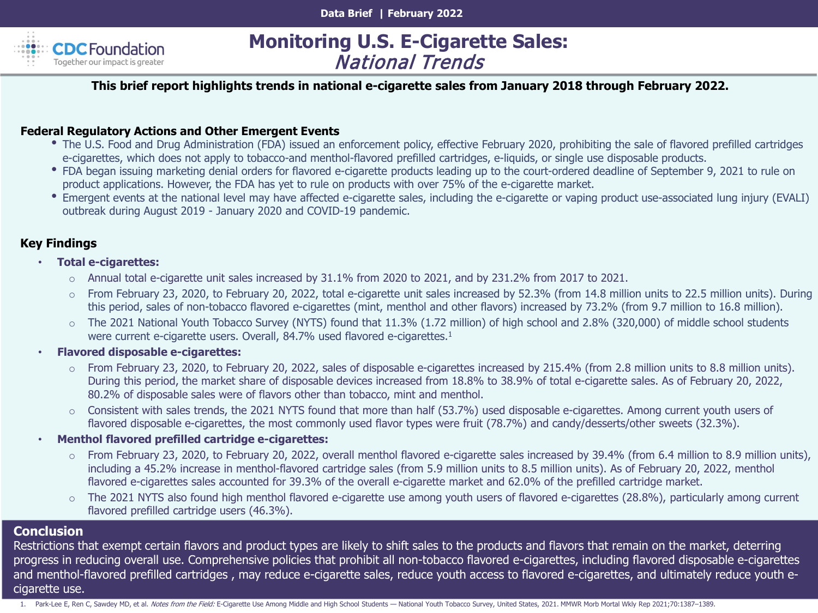

# **Monitoring U.S. E-Cigarette Sales:** National Trends

#### **This brief report highlights trends in national e-cigarette sales from January 2018 through February 2022.**

#### **Federal Regulatory Actions and Other Emergent Events**

- The U.S. Food and Drug Administration (FDA) issued an enforcement policy, effective February 2020, prohibiting the sale of flavored prefilled cartridges e-cigarettes, which does not apply to tobacco-and menthol-flavored prefilled cartridges, e-liquids, or single use disposable products.
- FDA began issuing marketing denial orders for flavored e-cigarette products leading up to the court-ordered deadline of September 9, 2021 to rule on product applications. However, the FDA has yet to rule on products with over 75% of the e-cigarette market.
- Emergent events at the national level may have affected e-cigarette sales, including the e-cigarette or vaping product use-associated lung injury (EVALI) outbreak during August 2019 - January 2020 and COVID-19 pandemic.

#### **Key Findings**

- **Total e-cigarettes:**
	- o Annual total e-cigarette unit sales increased by 31.1% from 2020 to 2021, and by 231.2% from 2017 to 2021.
	- o From February 23, 2020, to February 20, 2022, total e-cigarette unit sales increased by 52.3% (from 14.8 million units to 22.5 million units). During this period, sales of non-tobacco flavored e-cigarettes (mint, menthol and other flavors) increased by 73.2% (from 9.7 million to 16.8 million).
	- o The 2021 National Youth Tobacco Survey (NYTS) found that 11.3% (1.72 million) of high school and 2.8% (320,000) of middle school students were current e-cigarette users. Overall, 84.7% used flavored e-cigarettes.<sup>1</sup>
- **Flavored disposable e-cigarettes:**
	- o From February 23, 2020, to February 20, 2022, sales of disposable e-cigarettes increased by 215.4% (from 2.8 million units to 8.8 million units). During this period, the market share of disposable devices increased from 18.8% to 38.9% of total e-cigarette sales. As of February 20, 2022, 80.2% of disposable sales were of flavors other than tobacco, mint and menthol.
	- Consistent with sales trends, the 2021 NYTS found that more than half (53.7%) used disposable e-cigarettes. Among current youth users of flavored disposable e-cigarettes, the most commonly used flavor types were fruit (78.7%) and candy/desserts/other sweets (32.3%).
- **Menthol flavored prefilled cartridge e-cigarettes:**
	- o From February 23, 2020, to February 20, 2022, overall menthol flavored e-cigarette sales increased by 39.4% (from 6.4 million to 8.9 million units), including a 45.2% increase in menthol-flavored cartridge sales (from 5.9 million units to 8.5 million units). As of February 20, 2022, menthol flavored e-cigarettes sales accounted for 39.3% of the overall e-cigarette market and 62.0% of the prefilled cartridge market.
	- The 2021 NYTS also found high menthol flavored e-cigarette use among youth users of flavored e-cigarettes (28.8%), particularly among current flavored prefilled cartridge users (46.3%).

#### **Conclusion**

Restrictions that exempt certain flavors and product types are likely to shift sales to the products and flavors that remain on the market, deterring progress in reducing overall use. Comprehensive policies that prohibit all non-tobacco flavored e-cigarettes, including flavored disposable e-cigarettes and menthol-flavored prefilled cartridges , may reduce e-cigarette sales, reduce youth access to flavored e-cigarettes, and ultimately reduce youth ecigarette use.

1. Park-Lee E, Ren C, Sawdey MD, et al. Notes from the Field: E-Cigarette Use Among Middle and High School Students — National Youth Tobacco Survey, United States, 2021. MMWR Morb Mortal Wkly Rep 2021;70:1387-1389.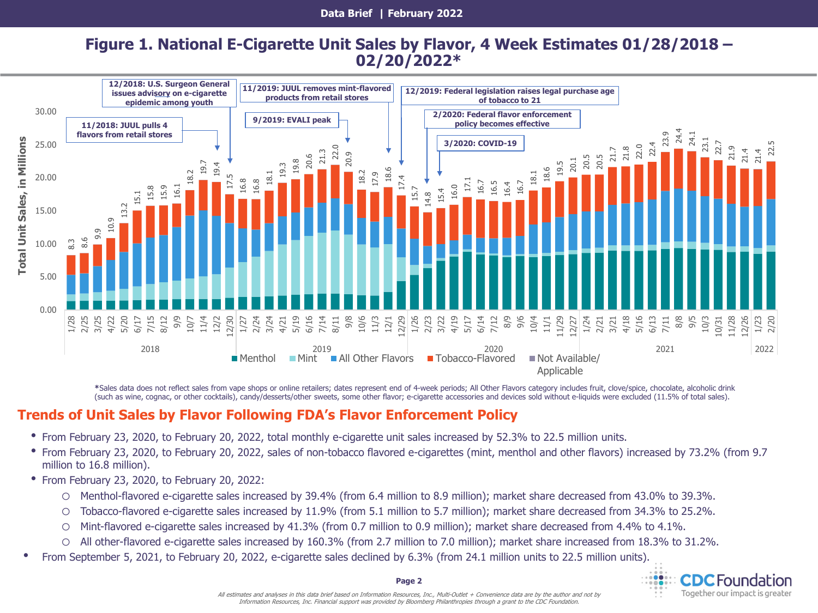## **Figure 1. National E-Cigarette Unit Sales by Flavor, 4 Week Estimates 01/28/2018 – 02/20/2022\***



**\***Sales data does not reflect sales from vape shops or online retailers; dates represent end of 4-week periods; All Other Flavors category includes fruit, clove/spice, chocolate, alcoholic drink (such as wine, cognac, or other cocktails), candy/desserts/other sweets, some other flavor; e-cigarette accessories and devices sold without e-liquids were excluded (11.5% of total sales).

## **Trends of Unit Sales by Flavor Following FDA's Flavor Enforcement Policy**

- From February 23, 2020, to February 20, 2022, total monthly e-cigarette unit sales increased by 52.3% to 22.5 million units.
- From February 23, 2020, to February 20, 2022, sales of non-tobacco flavored e-cigarettes (mint, menthol and other flavors) increased by 73.2% (from 9.7 million to 16.8 million).
- From February 23, 2020, to February 20, 2022:
	- o Menthol-flavored e-cigarette sales increased by 39.4% (from 6.4 million to 8.9 million); market share decreased from 43.0% to 39.3%.
	- o Tobacco-flavored e-cigarette sales increased by 11.9% (from 5.1 million to 5.7 million); market share decreased from 34.3% to 25.2%.
	- o Mint-flavored e-cigarette sales increased by 41.3% (from 0.7 million to 0.9 million); market share decreased from 4.4% to 4.1%.
	- o All other-flavored e-cigarette sales increased by 160.3% (from 2.7 million to 7.0 million); market share increased from 18.3% to 31.2%.
- From September 5, 2021, to February 20, 2022, e-cigarette sales declined by 6.3% (from 24.1 million units to 22.5 million units).

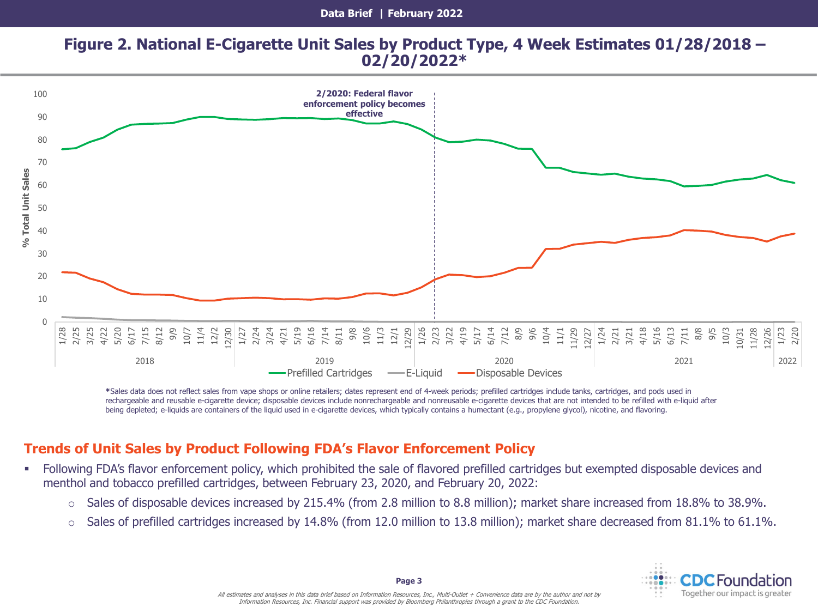### **Figure 2. National E-Cigarette Unit Sales by Product Type, 4 Week Estimates 01/28/2018 – 02/20/2022\***



**\***Sales data does not reflect sales from vape shops or online retailers; dates represent end of 4-week periods; prefilled cartridges include tanks, cartridges, and pods used in rechargeable and reusable e-cigarette device; disposable devices include nonrechargeable and nonreusable e-cigarette devices that are not intended to be refilled with e-liquid after being depleted; e-liquids are containers of the liquid used in e-cigarette devices, which typically contains a humectant (e.g., propylene glycol), nicotine, and flavoring.

## **Trends of Unit Sales by Product Following FDA's Flavor Enforcement Policy**

- Following FDA's flavor enforcement policy, which prohibited the sale of flavored prefilled cartridges but exempted disposable devices and menthol and tobacco prefilled cartridges, between February 23, 2020, and February 20, 2022:
	- o Sales of disposable devices increased by 215.4% (from 2.8 million to 8.8 million); market share increased from 18.8% to 38.9%.
	- $\circ$  Sales of prefilled cartridges increased by 14.8% (from 12.0 million to 13.8 million); market share decreased from 81.1% to 61.1%.

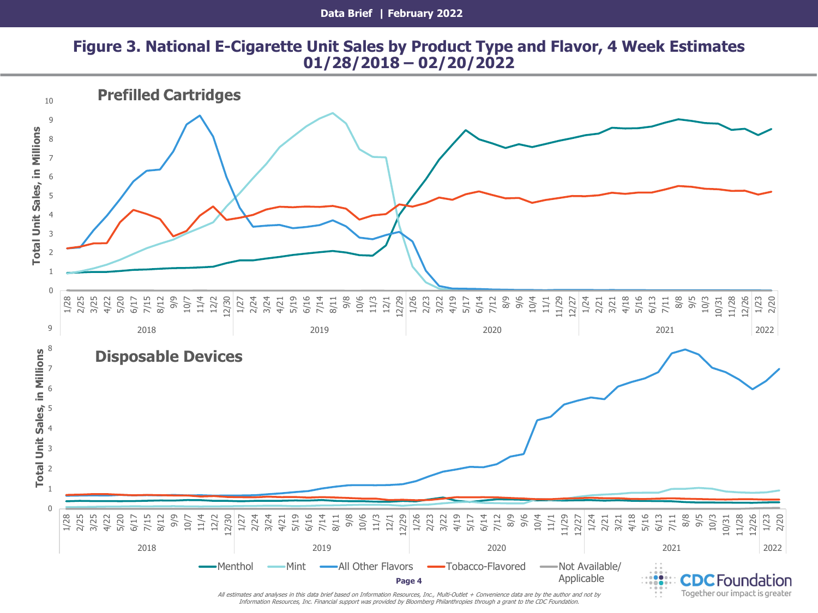## **Figure 3. National E-Cigarette Unit Sales by Product Type and Flavor, 4 Week Estimates 01/28/2018 – 02/20/2022**



Information Resources, Inc. Financial support was provided by Bloomberg Philanthropies through a grant to the CDC Foundation.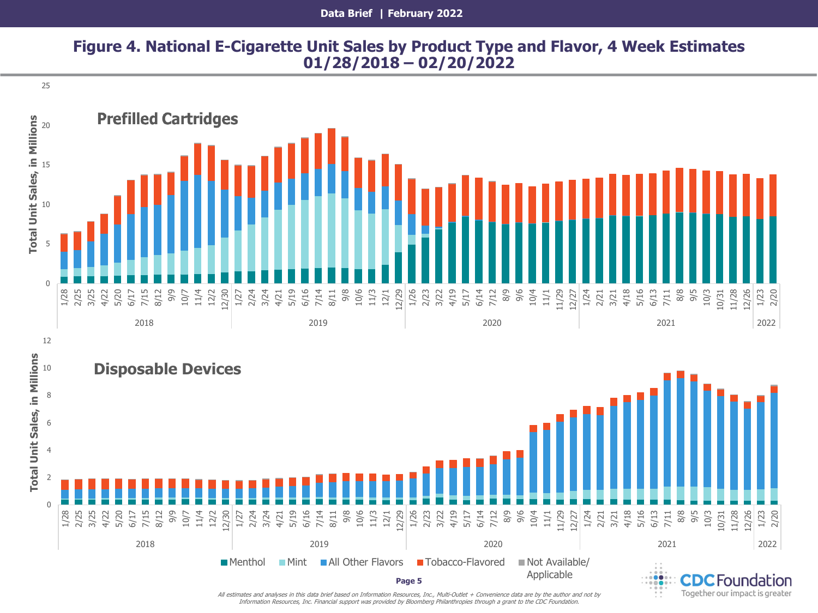#### **Data Brief | February 2022**

## **Figure 4. National E-Cigarette Unit Sales by Product Type and Flavor, 4 Week Estimates 01/28/2018 – 02/20/2022**





12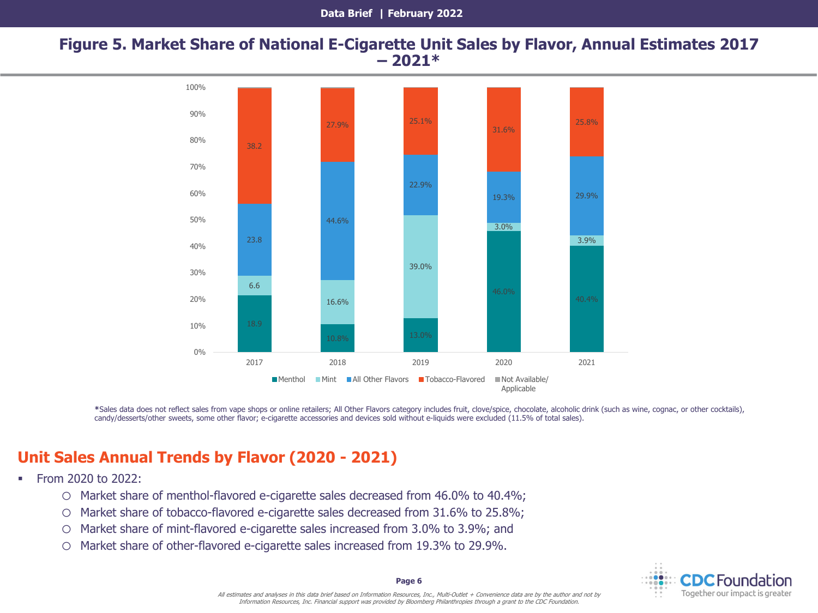#### **Figure 5. Market Share of National E-Cigarette Unit Sales by Flavor, Annual Estimates 2017 – 2021\***



**\***Sales data does not reflect sales from vape shops or online retailers; All Other Flavors category includes fruit, clove/spice, chocolate, alcoholic drink (such as wine, cognac, or other cocktails), candy/desserts/other sweets, some other flavor; e-cigarette accessories and devices sold without e-liquids were excluded (11.5% of total sales).

# **Unit Sales Annual Trends by Flavor (2020 - 2021)**

- From 2020 to 2022:
	- o Market share of menthol-flavored e-cigarette sales decreased from 46.0% to 40.4%;
	- o Market share of tobacco-flavored e-cigarette sales decreased from 31.6% to 25.8%;
	- o Market share of mint-flavored e-cigarette sales increased from 3.0% to 3.9%; and
	- o Market share of other-flavored e-cigarette sales increased from 19.3% to 29.9%.